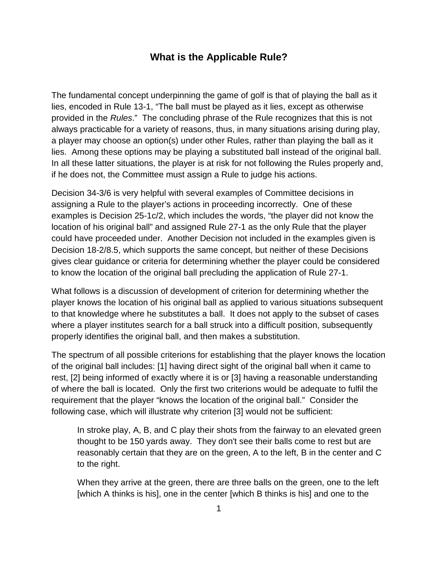## **What is the Applicable Rule?**

The fundamental concept underpinning the game of golf is that of playing the ball as it lies, encoded in Rule 13-1, "The ball must be played as it lies, except as otherwise provided in the *Rules*." The concluding phrase of the Rule recognizes that this is not always practicable for a variety of reasons, thus, in many situations arising during play, a player may choose an option(s) under other Rules, rather than playing the ball as it lies. Among these options may be playing a substituted ball instead of the original ball. In all these latter situations, the player is at risk for not following the Rules properly and, if he does not, the Committee must assign a Rule to judge his actions.

Decision 34-3/6 is very helpful with several examples of Committee decisions in assigning a Rule to the player's actions in proceeding incorrectly. One of these examples is Decision 25-1c/2, which includes the words, "the player did not know the location of his original ball" and assigned Rule 27-1 as the only Rule that the player could have proceeded under. Another Decision not included in the examples given is Decision 18-2/8.5, which supports the same concept, but neither of these Decisions gives clear guidance or criteria for determining whether the player could be considered to know the location of the original ball precluding the application of Rule 27-1.

What follows is a discussion of development of criterion for determining whether the player knows the location of his original ball as applied to various situations subsequent to that knowledge where he substitutes a ball. It does not apply to the subset of cases where a player institutes search for a ball struck into a difficult position, subsequently properly identifies the original ball, and then makes a substitution.

The spectrum of all possible criterions for establishing that the player knows the location of the original ball includes: [1] having direct sight of the original ball when it came to rest, [2] being informed of exactly where it is or [3] having a reasonable understanding of where the ball is located. Only the first two criterions would be adequate to fulfil the requirement that the player "knows the location of the original ball." Consider the following case, which will illustrate why criterion [3] would not be sufficient:

In stroke play, A, B, and C play their shots from the fairway to an elevated green thought to be 150 yards away. They don't see their balls come to rest but are reasonably certain that they are on the green, A to the left, B in the center and C to the right.

When they arrive at the green, there are three balls on the green, one to the left [which A thinks is his], one in the center [which B thinks is his] and one to the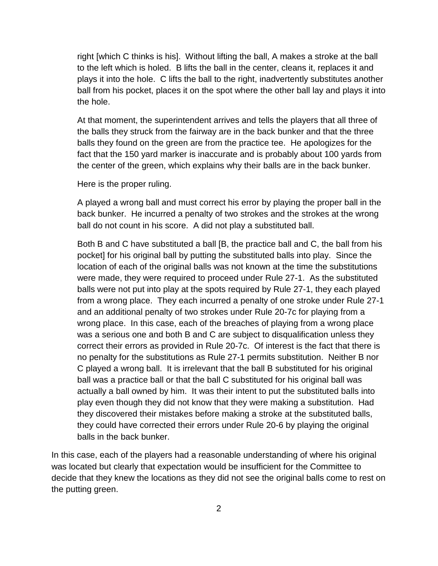right [which C thinks is his]. Without lifting the ball, A makes a stroke at the ball to the left which is holed. B lifts the ball in the center, cleans it, replaces it and plays it into the hole. C lifts the ball to the right, inadvertently substitutes another ball from his pocket, places it on the spot where the other ball lay and plays it into the hole.

At that moment, the superintendent arrives and tells the players that all three of the balls they struck from the fairway are in the back bunker and that the three balls they found on the green are from the practice tee. He apologizes for the fact that the 150 yard marker is inaccurate and is probably about 100 yards from the center of the green, which explains why their balls are in the back bunker.

Here is the proper ruling.

A played a wrong ball and must correct his error by playing the proper ball in the back bunker. He incurred a penalty of two strokes and the strokes at the wrong ball do not count in his score. A did not play a substituted ball.

Both B and C have substituted a ball [B, the practice ball and C, the ball from his pocket] for his original ball by putting the substituted balls into play. Since the location of each of the original balls was not known at the time the substitutions were made, they were required to proceed under Rule 27-1. As the substituted balls were not put into play at the spots required by Rule 27-1, they each played from a wrong place. They each incurred a penalty of one stroke under Rule 27-1 and an additional penalty of two strokes under Rule 20-7c for playing from a wrong place. In this case, each of the breaches of playing from a wrong place was a serious one and both B and C are subject to disqualification unless they correct their errors as provided in Rule 20-7c. Of interest is the fact that there is no penalty for the substitutions as Rule 27-1 permits substitution. Neither B nor C played a wrong ball. It is irrelevant that the ball B substituted for his original ball was a practice ball or that the ball C substituted for his original ball was actually a ball owned by him. It was their intent to put the substituted balls into play even though they did not know that they were making a substitution. Had they discovered their mistakes before making a stroke at the substituted balls, they could have corrected their errors under Rule 20-6 by playing the original balls in the back bunker.

In this case, each of the players had a reasonable understanding of where his original was located but clearly that expectation would be insufficient for the Committee to decide that they knew the locations as they did not see the original balls come to rest on the putting green.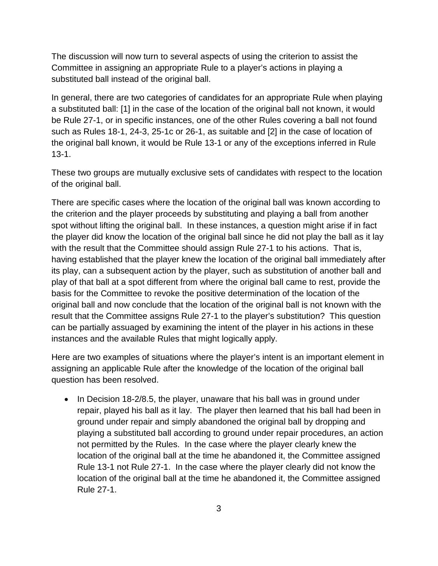The discussion will now turn to several aspects of using the criterion to assist the Committee in assigning an appropriate Rule to a player's actions in playing a substituted ball instead of the original ball.

In general, there are two categories of candidates for an appropriate Rule when playing a substituted ball: [1] in the case of the location of the original ball not known, it would be Rule 27-1, or in specific instances, one of the other Rules covering a ball not found such as Rules 18-1, 24-3, 25-1c or 26-1, as suitable and [2] in the case of location of the original ball known, it would be Rule 13-1 or any of the exceptions inferred in Rule 13-1.

These two groups are mutually exclusive sets of candidates with respect to the location of the original ball.

There are specific cases where the location of the original ball was known according to the criterion and the player proceeds by substituting and playing a ball from another spot without lifting the original ball. In these instances, a question might arise if in fact the player did know the location of the original ball since he did not play the ball as it lay with the result that the Committee should assign Rule 27-1 to his actions. That is, having established that the player knew the location of the original ball immediately after its play, can a subsequent action by the player, such as substitution of another ball and play of that ball at a spot different from where the original ball came to rest, provide the basis for the Committee to revoke the positive determination of the location of the original ball and now conclude that the location of the original ball is not known with the result that the Committee assigns Rule 27-1 to the player's substitution? This question can be partially assuaged by examining the intent of the player in his actions in these instances and the available Rules that might logically apply.

Here are two examples of situations where the player's intent is an important element in assigning an applicable Rule after the knowledge of the location of the original ball question has been resolved.

• In Decision 18-2/8.5, the player, unaware that his ball was in ground under repair, played his ball as it lay. The player then learned that his ball had been in ground under repair and simply abandoned the original ball by dropping and playing a substituted ball according to ground under repair procedures, an action not permitted by the Rules. In the case where the player clearly knew the location of the original ball at the time he abandoned it, the Committee assigned Rule 13-1 not Rule 27-1. In the case where the player clearly did not know the location of the original ball at the time he abandoned it, the Committee assigned Rule 27-1.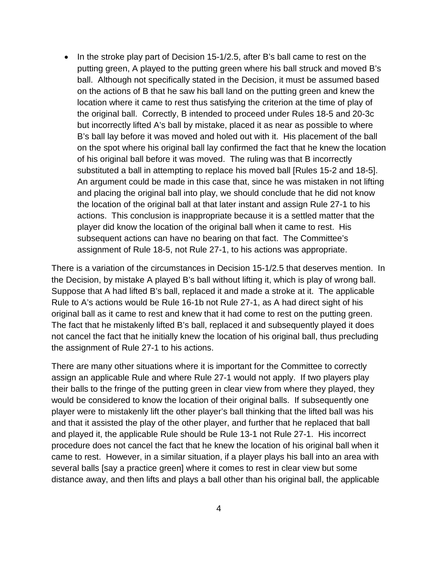• In the stroke play part of Decision 15-1/2.5, after B's ball came to rest on the putting green, A played to the putting green where his ball struck and moved B's ball. Although not specifically stated in the Decision, it must be assumed based on the actions of B that he saw his ball land on the putting green and knew the location where it came to rest thus satisfying the criterion at the time of play of the original ball. Correctly, B intended to proceed under Rules 18-5 and 20-3c but incorrectly lifted A's ball by mistake, placed it as near as possible to where B's ball lay before it was moved and holed out with it. His placement of the ball on the spot where his original ball lay confirmed the fact that he knew the location of his original ball before it was moved. The ruling was that B incorrectly substituted a ball in attempting to replace his moved ball [Rules 15-2 and 18-5]. An argument could be made in this case that, since he was mistaken in not lifting and placing the original ball into play, we should conclude that he did not know the location of the original ball at that later instant and assign Rule 27-1 to his actions. This conclusion is inappropriate because it is a settled matter that the player did know the location of the original ball when it came to rest. His subsequent actions can have no bearing on that fact. The Committee's assignment of Rule 18-5, not Rule 27-1, to his actions was appropriate.

There is a variation of the circumstances in Decision 15-1/2.5 that deserves mention. In the Decision, by mistake A played B's ball without lifting it, which is play of wrong ball. Suppose that A had lifted B's ball, replaced it and made a stroke at it. The applicable Rule to A's actions would be Rule 16-1b not Rule 27-1, as A had direct sight of his original ball as it came to rest and knew that it had come to rest on the putting green. The fact that he mistakenly lifted B's ball, replaced it and subsequently played it does not cancel the fact that he initially knew the location of his original ball, thus precluding the assignment of Rule 27-1 to his actions.

There are many other situations where it is important for the Committee to correctly assign an applicable Rule and where Rule 27-1 would not apply. If two players play their balls to the fringe of the putting green in clear view from where they played, they would be considered to know the location of their original balls. If subsequently one player were to mistakenly lift the other player's ball thinking that the lifted ball was his and that it assisted the play of the other player, and further that he replaced that ball and played it, the applicable Rule should be Rule 13-1 not Rule 27-1. His incorrect procedure does not cancel the fact that he knew the location of his original ball when it came to rest. However, in a similar situation, if a player plays his ball into an area with several balls [say a practice green] where it comes to rest in clear view but some distance away, and then lifts and plays a ball other than his original ball, the applicable